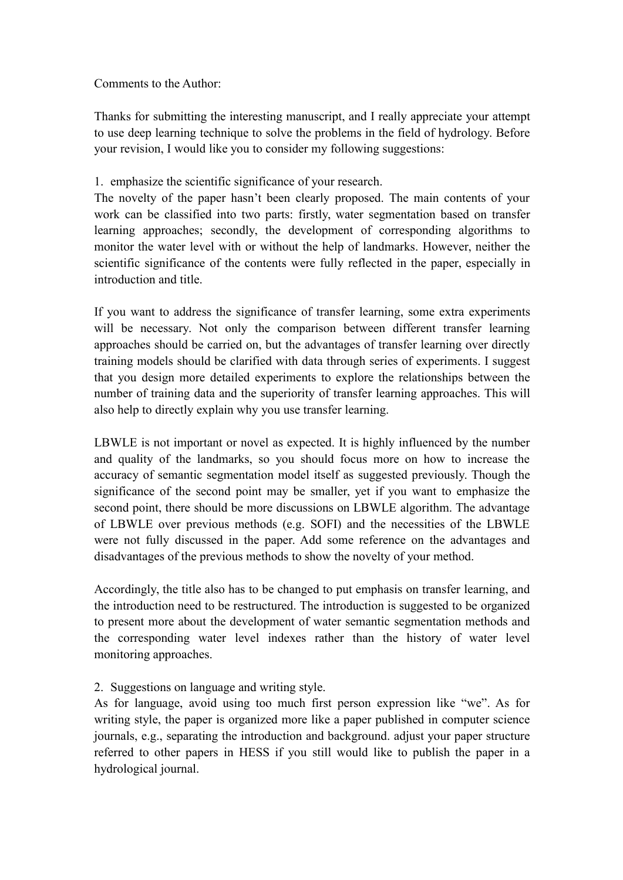Comments to the Author:

Thanks for submitting the interesting manuscript, and I really appreciate your attempt to use deep learning technique to solve the problems in the field of hydrology. Before your revision, I would like you to consider my following suggestions:

## 1. emphasize the scientific significance of your research.

The novelty of the paper hasn't been clearly proposed. The main contents of your work can be classified into two parts: firstly, water segmentation based on transfer learning approaches; secondly, the development of corresponding algorithms to monitor the water level with or without the help of landmarks. However, neither the scientific significance of the contents were fully reflected in the paper, especially in introduction and title.

If you want to address the significance of transfer learning, some extra experiments will be necessary. Not only the comparison between different transfer learning approaches should be carried on, but the advantages of transfer learning over directly training models should be clarified with data through series of experiments. I suggest that you design more detailed experiments to explore the relationships between the number of training data and the superiority of transfer learning approaches. This will also help to directly explain why you use transfer learning.

LBWLE is not important or novel as expected. It is highly influenced by the number and quality of the landmarks, so you should focus more on how to increase the accuracy of semantic segmentation model itself as suggested previously.Though the significance of the second point may be smaller, yet if you want to emphasize the second point, there should be more discussions on LBWLE algorithm. The advantage of LBWLE over previous methods (e.g. SOFI) and the necessities of the LBWLE were not fully discussed in the paper. Add some reference on the advantages and disadvantages of the previous methods to show the novelty of your method.

Accordingly, the title also has to be changed to put emphasis on transfer learning, and the introduction need to be restructured. The introduction is suggested to be organized to present more about the development of water semantic segmentation methods and the corresponding water level indexes rather than the history of water level monitoring approaches.

## 2. Suggestions on language and writing style.

As for language, avoid using too much first person expression like "we". As for writing style, the paper is organized more like a paper published in computer science journals, e.g., separating the introduction and background. adjust your paper structure referred to other papers in HESS if you still would like to publish the paper in a hydrological journal.